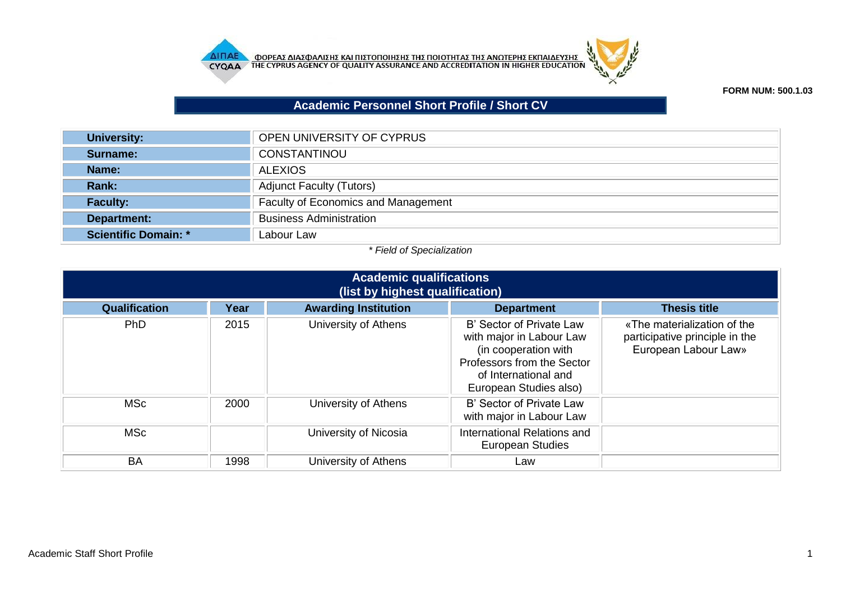



## **FORM NUM: 500.1.03**

## **Academic Personnel Short Profile / Short CV**

| University:          | OPEN UNIVERSITY OF CYPRUS                  |
|----------------------|--------------------------------------------|
| Surname:             | CONSTANTINOU                               |
| Name:                | <b>ALEXIOS</b>                             |
| Rank:                | <b>Adjunct Faculty (Tutors)</b>            |
| <b>Faculty:</b>      | <b>Faculty of Economics and Management</b> |
| Department:          | <b>Business Administration</b>             |
| Scientific Domain: * | Labour Law                                 |

## *\* Field of Specialization*

| <b>Academic qualifications</b><br>(list by highest qualification) |      |                             |                                                                                                                                                              |                                                                                       |  |
|-------------------------------------------------------------------|------|-----------------------------|--------------------------------------------------------------------------------------------------------------------------------------------------------------|---------------------------------------------------------------------------------------|--|
| Qualification                                                     | Year | <b>Awarding Institution</b> | <b>Department</b>                                                                                                                                            | <b>Thesis title</b>                                                                   |  |
| <b>PhD</b>                                                        | 2015 | University of Athens        | B' Sector of Private Law<br>with major in Labour Law<br>(in cooperation with<br>Professors from the Sector<br>of International and<br>European Studies also) | «The materialization of the<br>participative principle in the<br>European Labour Law» |  |
| <b>MSc</b>                                                        | 2000 | University of Athens        | B' Sector of Private Law<br>with major in Labour Law                                                                                                         |                                                                                       |  |
| <b>MSc</b>                                                        |      | University of Nicosia       | International Relations and<br><b>European Studies</b>                                                                                                       |                                                                                       |  |
| BA                                                                | 1998 | University of Athens        | Law                                                                                                                                                          |                                                                                       |  |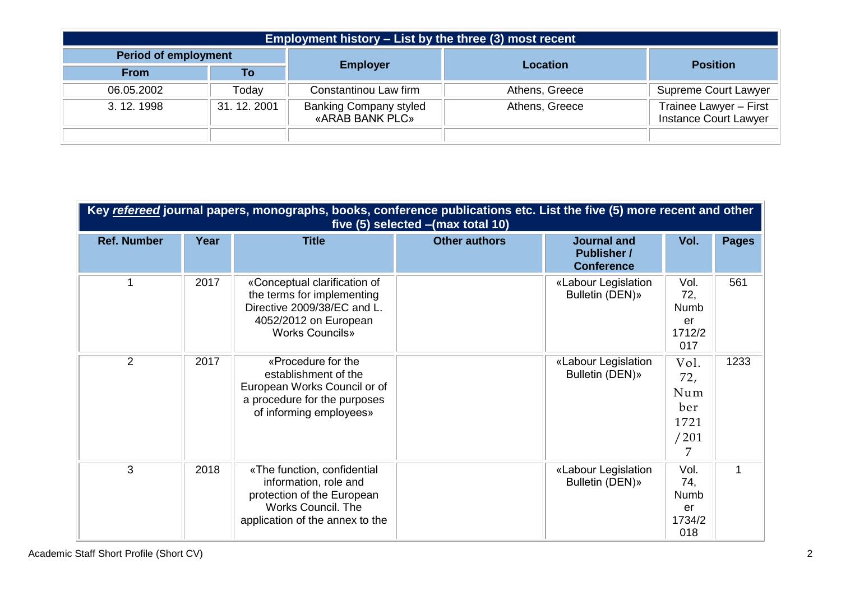|                             | <b>Employment history – List by the three (3) most recent</b> |                                                  |                |                                                        |  |  |
|-----------------------------|---------------------------------------------------------------|--------------------------------------------------|----------------|--------------------------------------------------------|--|--|
| <b>Period of employment</b> |                                                               | <b>Employer</b>                                  | Location       | <b>Position</b>                                        |  |  |
| <b>From</b>                 | To                                                            |                                                  |                |                                                        |  |  |
| 06.05.2002                  | Today                                                         | Constantinou Law firm                            | Athens, Greece | <b>Supreme Court Lawyer</b>                            |  |  |
| 3. 12. 1998                 | 31, 12, 2001                                                  | <b>Banking Company styled</b><br>«ARAB BANK PLC» | Athens, Greece | Trainee Lawyer - First<br><b>Instance Court Lawyer</b> |  |  |
|                             |                                                               |                                                  |                |                                                        |  |  |

| Key refereed journal papers, monographs, books, conference publications etc. List the five (5) more recent and other<br>five (5) selected - (max total 10) |      |                                                                                                                                                    |                      |                                                               |                                                |              |
|------------------------------------------------------------------------------------------------------------------------------------------------------------|------|----------------------------------------------------------------------------------------------------------------------------------------------------|----------------------|---------------------------------------------------------------|------------------------------------------------|--------------|
| <b>Ref. Number</b>                                                                                                                                         | Year | <b>Title</b>                                                                                                                                       | <b>Other authors</b> | <b>Journal and</b><br><b>Publisher /</b><br><b>Conference</b> | Vol.                                           | <b>Pages</b> |
|                                                                                                                                                            | 2017 | «Conceptual clarification of<br>the terms for implementing<br>Directive 2009/38/EC and L.<br>4052/2012 on European<br><b>Works Councils»</b>       |                      | «Labour Legislation<br>Bulletin (DEN)»                        | Vol.<br>72,<br>Numb<br>er<br>1712/2<br>017     | 561          |
| 2                                                                                                                                                          | 2017 | «Procedure for the<br>establishment of the<br>European Works Council or of<br>a procedure for the purposes<br>of informing employees»              |                      | «Labour Legislation<br>Bulletin (DEN)»                        | Vol.<br>72,<br>Num<br>ber<br>1721<br>/201<br>7 | 1233         |
| 3                                                                                                                                                          | 2018 | «The function, confidential<br>information, role and<br>protection of the European<br><b>Works Council. The</b><br>application of the annex to the |                      | «Labour Legislation<br>Bulletin (DEN)»                        | Vol.<br>74,<br>Numb<br>er<br>1734/2<br>018     | 1            |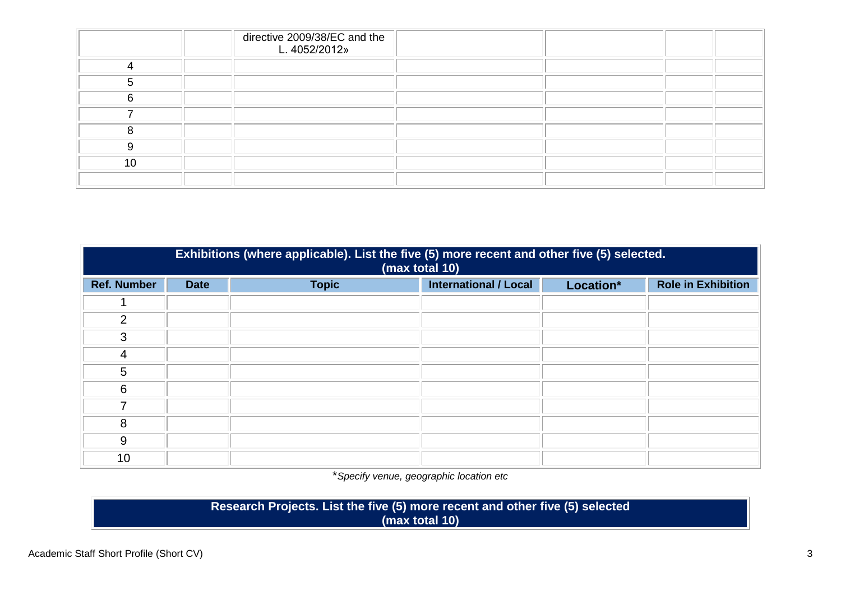|    | directive 2009/38/EC and the<br>L. 4052/2012» |  |  |
|----|-----------------------------------------------|--|--|
|    |                                               |  |  |
|    |                                               |  |  |
|    |                                               |  |  |
|    |                                               |  |  |
|    |                                               |  |  |
|    |                                               |  |  |
| 10 |                                               |  |  |
|    |                                               |  |  |

|                    | Exhibitions (where applicable). List the five (5) more recent and other five (5) selected.<br>(max total 10) |              |                              |           |                           |  |
|--------------------|--------------------------------------------------------------------------------------------------------------|--------------|------------------------------|-----------|---------------------------|--|
| <b>Ref. Number</b> | <b>Date</b>                                                                                                  | <b>Topic</b> | <b>International / Local</b> | Location* | <b>Role in Exhibition</b> |  |
|                    |                                                                                                              |              |                              |           |                           |  |
| $\overline{2}$     |                                                                                                              |              |                              |           |                           |  |
| 3                  |                                                                                                              |              |                              |           |                           |  |
| 4                  |                                                                                                              |              |                              |           |                           |  |
| 5                  |                                                                                                              |              |                              |           |                           |  |
| 6                  |                                                                                                              |              |                              |           |                           |  |
| 7                  |                                                                                                              |              |                              |           |                           |  |
| 8                  |                                                                                                              |              |                              |           |                           |  |
| 9                  |                                                                                                              |              |                              |           |                           |  |
| 10                 |                                                                                                              |              |                              |           |                           |  |

\**Specify venue, geographic location etc*

**Research Projects. List the five (5) more recent and other five (5) selected (max total 10)**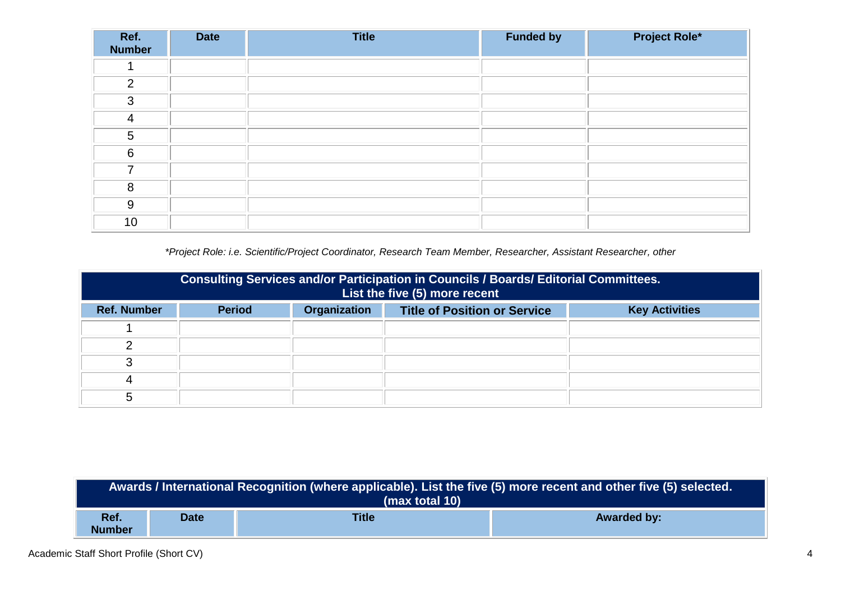| Ref.<br><b>Number</b> | <b>Date</b> | <b>Title</b> | <b>Funded by</b> | <b>Project Role*</b> |
|-----------------------|-------------|--------------|------------------|----------------------|
|                       |             |              |                  |                      |
| 2                     |             |              |                  |                      |
| 3                     |             |              |                  |                      |
| 4                     |             |              |                  |                      |
| $5\phantom{.0}$       |             |              |                  |                      |
| 6                     |             |              |                  |                      |
| ⇁                     |             |              |                  |                      |
| 8                     |             |              |                  |                      |
| 9                     |             |              |                  |                      |
| 10                    |             |              |                  |                      |

*\*Project Role: i.e. Scientific/Project Coordinator, Research Team Member, Researcher, Assistant Researcher, other*

|                    | <b>Consulting Services and/or Participation in Councils / Boards/ Editorial Committees.</b><br>List the five (5) more recent |              |                                     |                       |  |  |
|--------------------|------------------------------------------------------------------------------------------------------------------------------|--------------|-------------------------------------|-----------------------|--|--|
| <b>Ref. Number</b> | <b>Period</b>                                                                                                                | Organization | <b>Title of Position or Service</b> | <b>Key Activities</b> |  |  |
|                    |                                                                                                                              |              |                                     |                       |  |  |
|                    |                                                                                                                              |              |                                     |                       |  |  |
|                    |                                                                                                                              |              |                                     |                       |  |  |
|                    |                                                                                                                              |              |                                     |                       |  |  |
| G                  |                                                                                                                              |              |                                     |                       |  |  |

| Awards / International Recognition (where applicable). List the five (5) more recent and other five (5) selected.<br>(max total 10) |                                                   |  |  |  |  |
|-------------------------------------------------------------------------------------------------------------------------------------|---------------------------------------------------|--|--|--|--|
| Ref.<br><b>Number</b>                                                                                                               | <b>Title</b><br><b>Awarded by:</b><br><b>Date</b> |  |  |  |  |